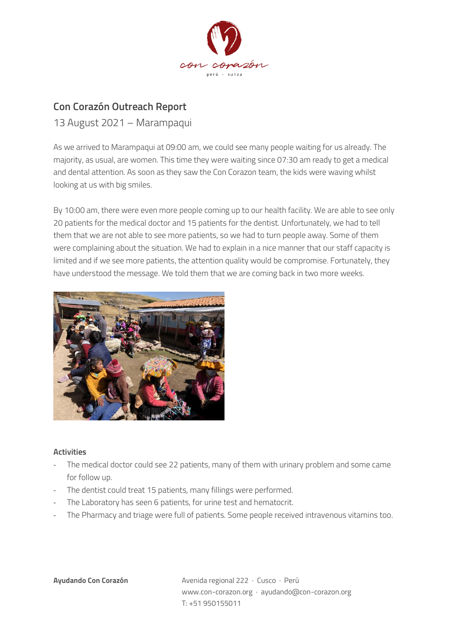

## **Con Corazón Outreach Report**

## 13 August 2021 – Marampaqui

As we arrived to Marampaqui at 09:00 am, we could see many people waiting for us already. The majority, as usual, are women. This time they were waiting since 07:30 am ready to get a medical and dental attention. As soon as they saw the Con Corazon team, the kids were waving whilst looking at us with big smiles.

By 10:00 am, there were even more people coming up to our health facility. We are able to see only 20 patients for the medical doctor and 15 patients for the dentist. Unfortunately, we had to tell them that we are not able to see more patients, so we had to turn people away. Some of them were complaining about the situation. We had to explain in a nice manner that our staff capacity is limited and if we see more patients, the attention quality would be compromise. Fortunately, they have understood the message. We told them that we are coming back in two more weeks.



## **Activities**

- The medical doctor could see 22 patients, many of them with urinary problem and some came for follow up.
- The dentist could treat 15 patients, many fillings were performed.
- The Laboratory has seen 6 patients, for urine test and hematocrit.
- The Pharmacy and triage were full of patients. Some people received intravenous vitamins too.

**Ayudando Con Corazón** Avenida regional 222 · Cusco · Perú www.con-corazon.org · ayudando@con-corazon.org T: +51 950155011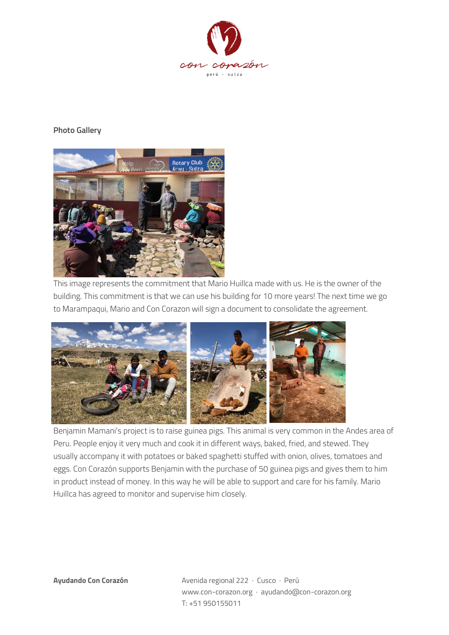

## **Photo Gallery**



This image represents the commitment that Mario Huillca made with us. He is the owner of the building. This commitment is that we can use his building for 10 more years! The next time we go to Marampaqui, Mario and Con Corazon will sign a document to consolidate the agreement.



Benjamin Mamani's project is to raise guinea pigs. This animal is very common in the Andes area of Peru. People enjoy it very much and cook it in different ways, baked, fried, and stewed. They usually accompany it with potatoes or baked spaghetti stuffed with onion, olives, tomatoes and eggs. Con Corazón supports Benjamin with the purchase of 50 guinea pigs and gives them to him in product instead of money. In this way he will be able to support and care for his family. Mario Huillca has agreed to monitor and supervise him closely.

**Ayudando Con Corazón** Avenida regional 222 · Cusco · Perú www.con-corazon.org · ayudando@con-corazon.org T: +51 950155011